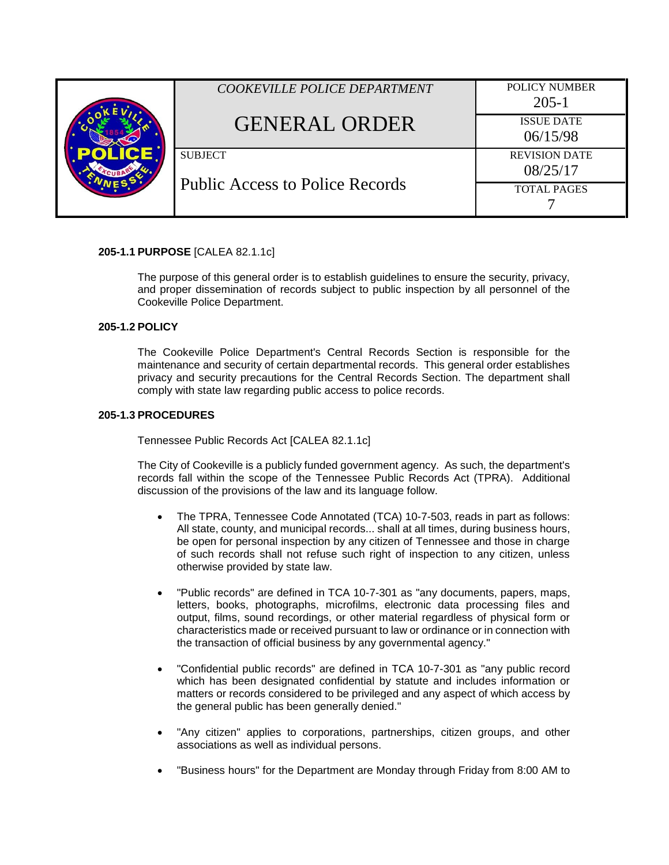|  | COOKEVILLE POLICE DEPARTMENT                             | <b>POLICY NUMBER</b><br>$205-1$  |
|--|----------------------------------------------------------|----------------------------------|
|  | <b>GENERAL ORDER</b>                                     | <b>ISSUE DATE</b><br>06/15/98    |
|  | <b>SUBJECT</b><br><b>Public Access to Police Records</b> | <b>REVISION DATE</b><br>08/25/17 |
|  |                                                          | <b>TOTAL PAGES</b>               |

## **205-1.1 PURPOSE** [CALEA 82.1.1c]

The purpose of this general order is to establish guidelines to ensure the security, privacy, and proper dissemination of records subject to public inspection by all personnel of the Cookeville Police Department.

# **205-1.2 POLICY**

The Cookeville Police Department's Central Records Section is responsible for the maintenance and security of certain departmental records. This general order establishes privacy and security precautions for the Central Records Section. The department shall comply with state law regarding public access to police records.

## **205-1.3 PROCEDURES**

Tennessee Public Records Act [CALEA 82.1.1c]

The City of Cookeville is a publicly funded government agency. As such, the department's records fall within the scope of the Tennessee Public Records Act (TPRA). Additional discussion of the provisions of the law and its language follow.

- The TPRA, Tennessee Code Annotated (TCA) 10-7-503, reads in part as follows: All state, county, and municipal records... shall at all times, during business hours, be open for personal inspection by any citizen of Tennessee and those in charge of such records shall not refuse such right of inspection to any citizen, unless otherwise provided by state law.
- "Public records" are defined in TCA 10-7-301 as "any documents, papers, maps, letters, books, photographs, microfilms, electronic data processing files and output, films, sound recordings, or other material regardless of physical form or characteristics made or received pursuant to law or ordinance or in connection with the transaction of official business by any governmental agency."
- "Confidential public records" are defined in TCA 10-7-301 as "any public record which has been designated confidential by statute and includes information or matters or records considered to be privileged and any aspect of which access by the general public has been generally denied."
- "Any citizen" applies to corporations, partnerships, citizen groups, and other associations as well as individual persons.
- "Business hours" for the Department are Monday through Friday from 8:00 AM to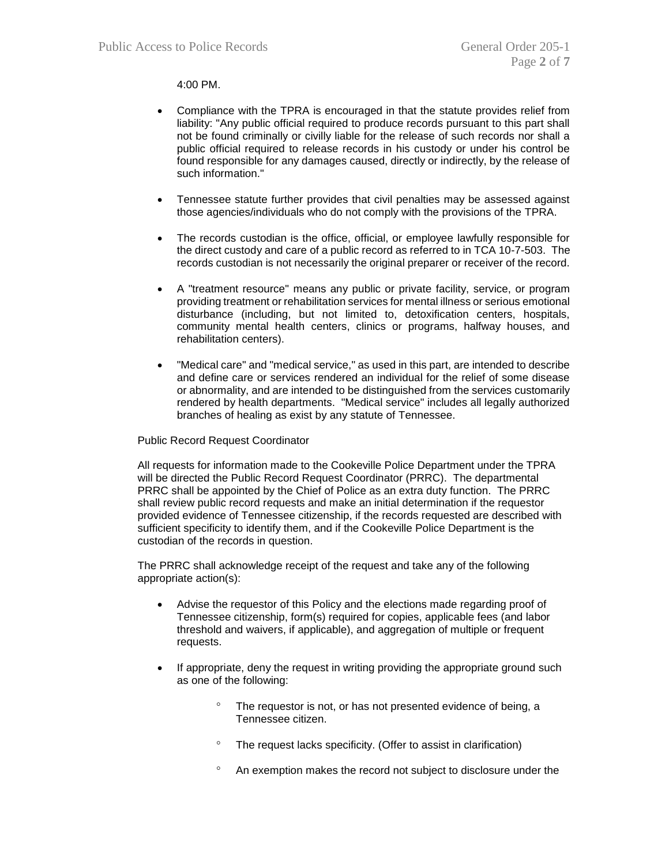## 4:00 PM.

- Compliance with the TPRA is encouraged in that the statute provides relief from liability: "Any public official required to produce records pursuant to this part shall not be found criminally or civilly liable for the release of such records nor shall a public official required to release records in his custody or under his control be found responsible for any damages caused, directly or indirectly, by the release of such information."
- Tennessee statute further provides that civil penalties may be assessed against those agencies/individuals who do not comply with the provisions of the TPRA.
- The records custodian is the office, official, or employee lawfully responsible for the direct custody and care of a public record as referred to in TCA 10-7-503. The records custodian is not necessarily the original preparer or receiver of the record.
- A "treatment resource" means any public or private facility, service, or program providing treatment or rehabilitation services for mental illness or serious emotional disturbance (including, but not limited to, detoxification centers, hospitals, community mental health centers, clinics or programs, halfway houses, and rehabilitation centers).
- "Medical care" and "medical service," as used in this part, are intended to describe and define care or services rendered an individual for the relief of some disease or abnormality, and are intended to be distinguished from the services customarily rendered by health departments. "Medical service" includes all legally authorized branches of healing as exist by any statute of Tennessee.

#### Public Record Request Coordinator

All requests for information made to the Cookeville Police Department under the TPRA will be directed the Public Record Request Coordinator (PRRC). The departmental PRRC shall be appointed by the Chief of Police as an extra duty function. The PRRC shall review public record requests and make an initial determination if the requestor provided evidence of Tennessee citizenship, if the records requested are described with sufficient specificity to identify them, and if the Cookeville Police Department is the custodian of the records in question.

The PRRC shall acknowledge receipt of the request and take any of the following appropriate action(s):

- Advise the requestor of this Policy and the elections made regarding proof of Tennessee citizenship, form(s) required for copies, applicable fees (and labor threshold and waivers, if applicable), and aggregation of multiple or frequent requests.
- If appropriate, deny the request in writing providing the appropriate ground such as one of the following:
	- <sup>o</sup> The requestor is not, or has not presented evidence of being, a Tennessee citizen.
	- The request lacks specificity. (Offer to assist in clarification)
	- An exemption makes the record not subject to disclosure under the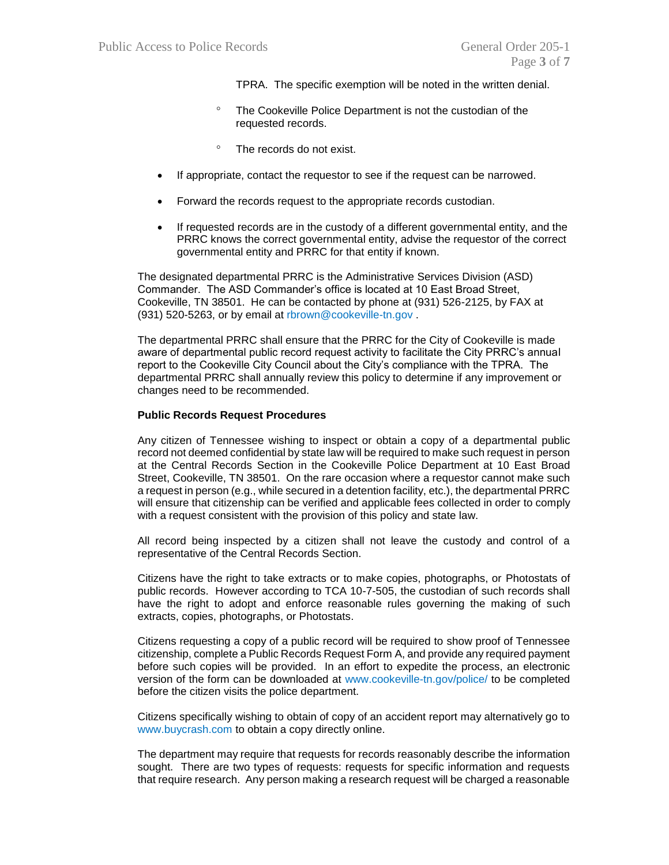TPRA. The specific exemption will be noted in the written denial.

- <sup>o</sup> The Cookeville Police Department is not the custodian of the requested records.
- The records do not exist.
- If appropriate, contact the requestor to see if the request can be narrowed.
- Forward the records request to the appropriate records custodian.
- If requested records are in the custody of a different governmental entity, and the PRRC knows the correct governmental entity, advise the requestor of the correct governmental entity and PRRC for that entity if known.

The designated departmental PRRC is the Administrative Services Division (ASD) Commander. The ASD Commander's office is located at 10 East Broad Street, Cookeville, TN 38501. He can be contacted by phone at (931) 526-2125, by FAX at (931) 520-5263, or by email at [rbrown@cookeville-tn.gov](mailto:rbrown@cookeville-tn.gov) .

The departmental PRRC shall ensure that the PRRC for the City of Cookeville is made aware of departmental public record request activity to facilitate the City PRRC's annual report to the Cookeville City Council about the City's compliance with the TPRA. The departmental PRRC shall annually review this policy to determine if any improvement or changes need to be recommended.

#### **Public Records Request Procedures**

Any citizen of Tennessee wishing to inspect or obtain a copy of a departmental public record not deemed confidential by state law will be required to make such request in person at the Central Records Section in the Cookeville Police Department at 10 East Broad Street, Cookeville, TN 38501. On the rare occasion where a requestor cannot make such a request in person (e.g., while secured in a detention facility, etc.), the departmental PRRC will ensure that citizenship can be verified and applicable fees collected in order to comply with a request consistent with the provision of this policy and state law.

All record being inspected by a citizen shall not leave the custody and control of a representative of the Central Records Section.

Citizens have the right to take extracts or to make copies, photographs, or Photostats of public records. However according to TCA 10-7-505, the custodian of such records shall have the right to adopt and enforce reasonable rules governing the making of such extracts, copies, photographs, or Photostats.

Citizens requesting a copy of a public record will be required to show proof of Tennessee citizenship, complete a Public Records Request Form A, and provide any required payment before such copies will be provided. In an effort to expedite the process, an electronic version of the form can be downloaded at [www.cookeville-tn.gov/police/](http://www.cookeville-tn.gov/police/) to be completed before the citizen visits the police department.

Citizens specifically wishing to obtain of copy of an accident report may alternatively go to [www.buycrash.com](http://www.buycrash.com/) to obtain a copy directly online.

The department may require that requests for records reasonably describe the information sought. There are two types of requests: requests for specific information and requests that require research. Any person making a research request will be charged a reasonable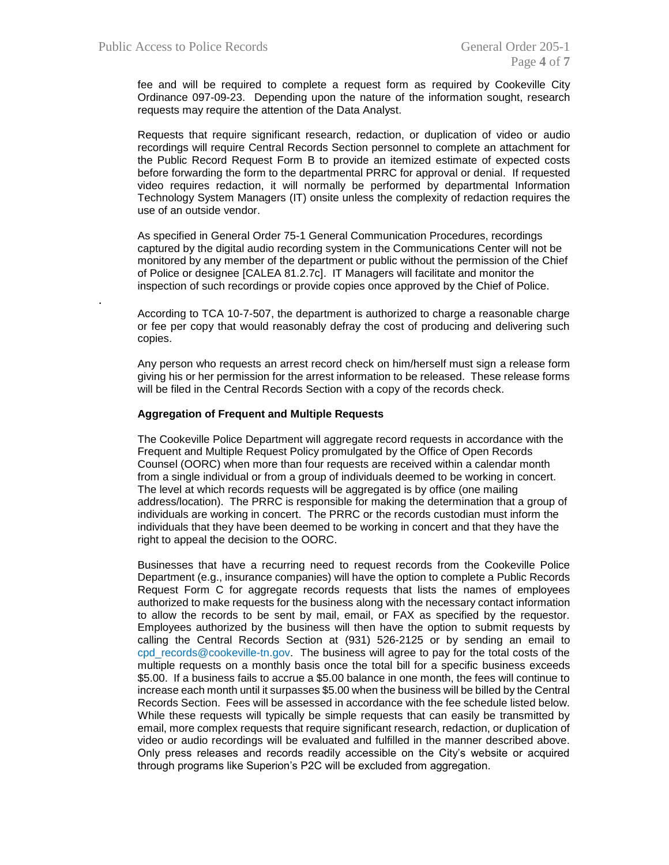.

fee and will be required to complete a request form as required by Cookeville City Ordinance 097-09-23. Depending upon the nature of the information sought, research requests may require the attention of the Data Analyst.

Requests that require significant research, redaction, or duplication of video or audio recordings will require Central Records Section personnel to complete an attachment for the Public Record Request Form B to provide an itemized estimate of expected costs before forwarding the form to the departmental PRRC for approval or denial. If requested video requires redaction, it will normally be performed by departmental Information Technology System Managers (IT) onsite unless the complexity of redaction requires the use of an outside vendor.

As specified in General Order 75-1 General Communication Procedures, recordings captured by the digital audio recording system in the Communications Center will not be monitored by any member of the department or public without the permission of the Chief of Police or designee [CALEA 81.2.7c]. IT Managers will facilitate and monitor the inspection of such recordings or provide copies once approved by the Chief of Police.

According to TCA 10-7-507, the department is authorized to charge a reasonable charge or fee per copy that would reasonably defray the cost of producing and delivering such copies.

Any person who requests an arrest record check on him/herself must sign a release form giving his or her permission for the arrest information to be released. These release forms will be filed in the Central Records Section with a copy of the records check.

## **Aggregation of Frequent and Multiple Requests**

The Cookeville Police Department will aggregate record requests in accordance with the Frequent and Multiple Request Policy promulgated by the Office of Open Records Counsel (OORC) when more than four requests are received within a calendar month from a single individual or from a group of individuals deemed to be working in concert. The level at which records requests will be aggregated is by office (one mailing address/location). The PRRC is responsible for making the determination that a group of individuals are working in concert. The PRRC or the records custodian must inform the individuals that they have been deemed to be working in concert and that they have the right to appeal the decision to the OORC.

Businesses that have a recurring need to request records from the Cookeville Police Department (e.g., insurance companies) will have the option to complete a Public Records Request Form C for aggregate records requests that lists the names of employees authorized to make requests for the business along with the necessary contact information to allow the records to be sent by mail, email, or FAX as specified by the requestor. Employees authorized by the business will then have the option to submit requests by calling the Central Records Section at (931) 526-2125 or by sending an email to [cpd\\_records@cookeville-tn.gov.](mailto:cpd_records@cookeville-tn.gov) The business will agree to pay for the total costs of the multiple requests on a monthly basis once the total bill for a specific business exceeds \$5.00. If a business fails to accrue a \$5.00 balance in one month, the fees will continue to increase each month until it surpasses \$5.00 when the business will be billed by the Central Records Section. Fees will be assessed in accordance with the fee schedule listed below. While these requests will typically be simple requests that can easily be transmitted by email, more complex requests that require significant research, redaction, or duplication of video or audio recordings will be evaluated and fulfilled in the manner described above. Only press releases and records readily accessible on the City's website or acquired through programs like Superion's P2C will be excluded from aggregation.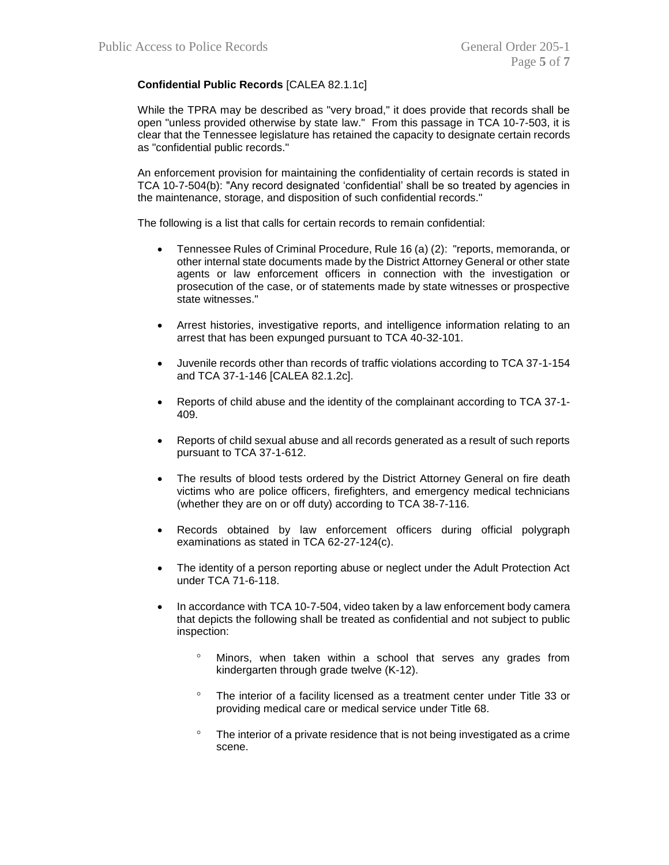# **Confidential Public Records** [CALEA 82.1.1c]

While the TPRA may be described as "very broad," it does provide that records shall be open "unless provided otherwise by state law." From this passage in TCA 10-7-503, it is clear that the Tennessee legislature has retained the capacity to designate certain records as "confidential public records."

An enforcement provision for maintaining the confidentiality of certain records is stated in TCA 10-7-504(b): "Any record designated 'confidential' shall be so treated by agencies in the maintenance, storage, and disposition of such confidential records."

The following is a list that calls for certain records to remain confidential:

- Tennessee Rules of Criminal Procedure, Rule 16 (a) (2): "reports, memoranda, or other internal state documents made by the District Attorney General or other state agents or law enforcement officers in connection with the investigation or prosecution of the case, or of statements made by state witnesses or prospective state witnesses."
- Arrest histories, investigative reports, and intelligence information relating to an arrest that has been expunged pursuant to TCA 40-32-101.
- Juvenile records other than records of traffic violations according to TCA 37-1-154 and TCA 37-1-146 [CALEA 82.1.2c].
- Reports of child abuse and the identity of the complainant according to TCA 37-1- 409.
- Reports of child sexual abuse and all records generated as a result of such reports pursuant to TCA 37-1-612.
- The results of blood tests ordered by the District Attorney General on fire death victims who are police officers, firefighters, and emergency medical technicians (whether they are on or off duty) according to TCA 38-7-116.
- Records obtained by law enforcement officers during official polygraph examinations as stated in TCA 62-27-124(c).
- The identity of a person reporting abuse or neglect under the Adult Protection Act under TCA 71-6-118.
- In accordance with TCA 10-7-504, video taken by a law enforcement body camera that depicts the following shall be treated as confidential and not subject to public inspection:
	- Minors, when taken within a school that serves any grades from kindergarten through grade twelve (K-12).
	- The interior of a facility licensed as a treatment center under Title 33 or providing medical care or medical service under Title 68.
	- The interior of a private residence that is not being investigated as a crime scene.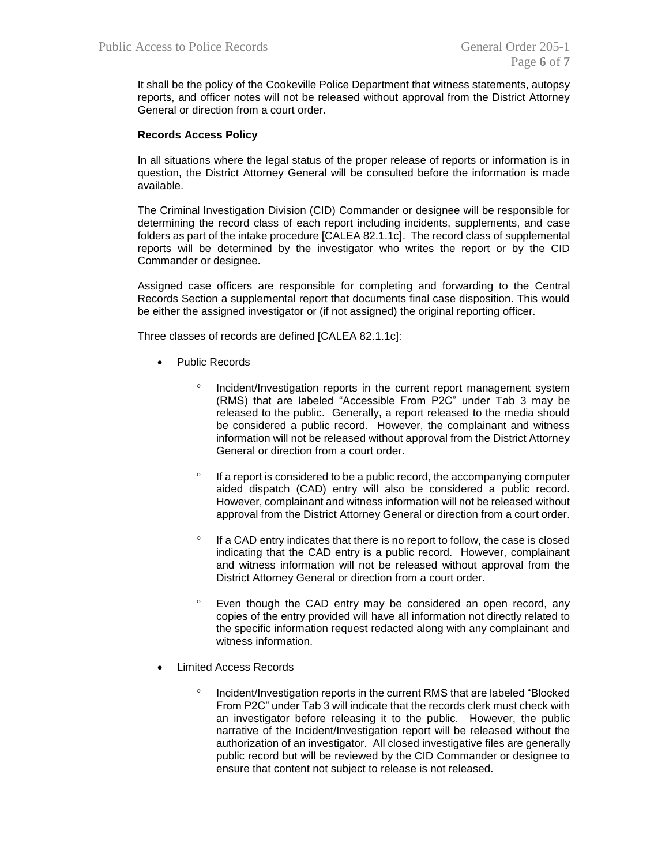It shall be the policy of the Cookeville Police Department that witness statements, autopsy reports, and officer notes will not be released without approval from the District Attorney General or direction from a court order.

## **Records Access Policy**

In all situations where the legal status of the proper release of reports or information is in question, the District Attorney General will be consulted before the information is made available.

The Criminal Investigation Division (CID) Commander or designee will be responsible for determining the record class of each report including incidents, supplements, and case folders as part of the intake procedure [CALEA 82.1.1c]. The record class of supplemental reports will be determined by the investigator who writes the report or by the CID Commander or designee.

Assigned case officers are responsible for completing and forwarding to the Central Records Section a supplemental report that documents final case disposition. This would be either the assigned investigator or (if not assigned) the original reporting officer.

Three classes of records are defined [CALEA 82.1.1c]:

- Public Records
	- Incident/Investigation reports in the current report management system (RMS) that are labeled "Accessible From P2C" under Tab 3 may be released to the public. Generally, a report released to the media should be considered a public record. However, the complainant and witness information will not be released without approval from the District Attorney General or direction from a court order.
	- $\degree$  If a report is considered to be a public record, the accompanying computer aided dispatch (CAD) entry will also be considered a public record. However, complainant and witness information will not be released without approval from the District Attorney General or direction from a court order.
	- <sup>o</sup> If a CAD entry indicates that there is no report to follow, the case is closed indicating that the CAD entry is a public record. However, complainant and witness information will not be released without approval from the District Attorney General or direction from a court order.
	- Even though the CAD entry may be considered an open record, any copies of the entry provided will have all information not directly related to the specific information request redacted along with any complainant and witness information.
- Limited Access Records
	- <sup>o</sup> Incident/Investigation reports in the current RMS that are labeled "Blocked" From P2C" under Tab 3 will indicate that the records clerk must check with an investigator before releasing it to the public. However, the public narrative of the Incident/Investigation report will be released without the authorization of an investigator. All closed investigative files are generally public record but will be reviewed by the CID Commander or designee to ensure that content not subject to release is not released.